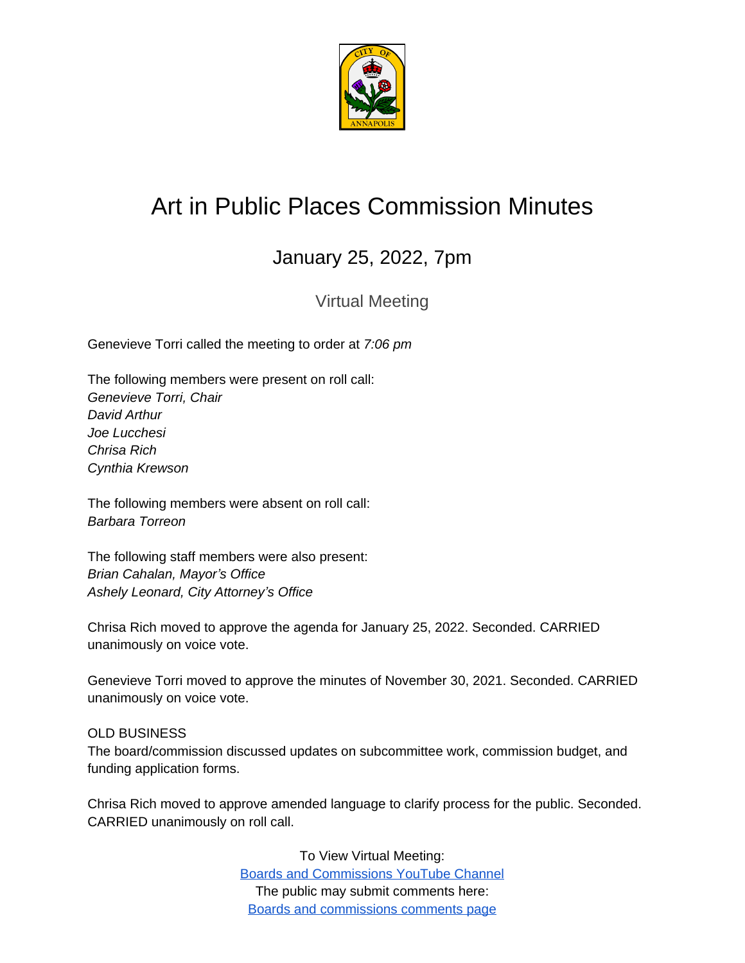

## Art in Public Places Commission Minutes

## January 25, 2022, 7pm

Virtual Meeting

Genevieve Torri called the meeting to order at *7:06 pm*

The following members were present on roll call: *Genevieve Torri, Chair David Arthur Joe Lucchesi Chrisa Rich Cynthia Krewson*

The following members were absent on roll call: *Barbara Torreon*

The following staff members were also present: *Brian Cahalan, Mayor's Office Ashely Leonard, City Attorney's Office*

Chrisa Rich moved to approve the agenda for January 25, 2022. Seconded. CARRIED unanimously on voice vote.

Genevieve Torri moved to approve the minutes of November 30, 2021. Seconded. CARRIED unanimously on voice vote.

## OLD BUSINESS

The board/commission discussed updates on subcommittee work, commission budget, and funding application forms.

Chrisa Rich moved to approve amended language to clarify process for the public. Seconded. CARRIED unanimously on roll call.

> To View Virtual Meeting: [Boards and Commissions YouTube Channel](https://www.youtube.com/c/annapolisboardsandcommissions) The public may submit comments here: [Boards and commissions comments page](https://www.annapolis.gov/515/Boards-Commissions-Info)